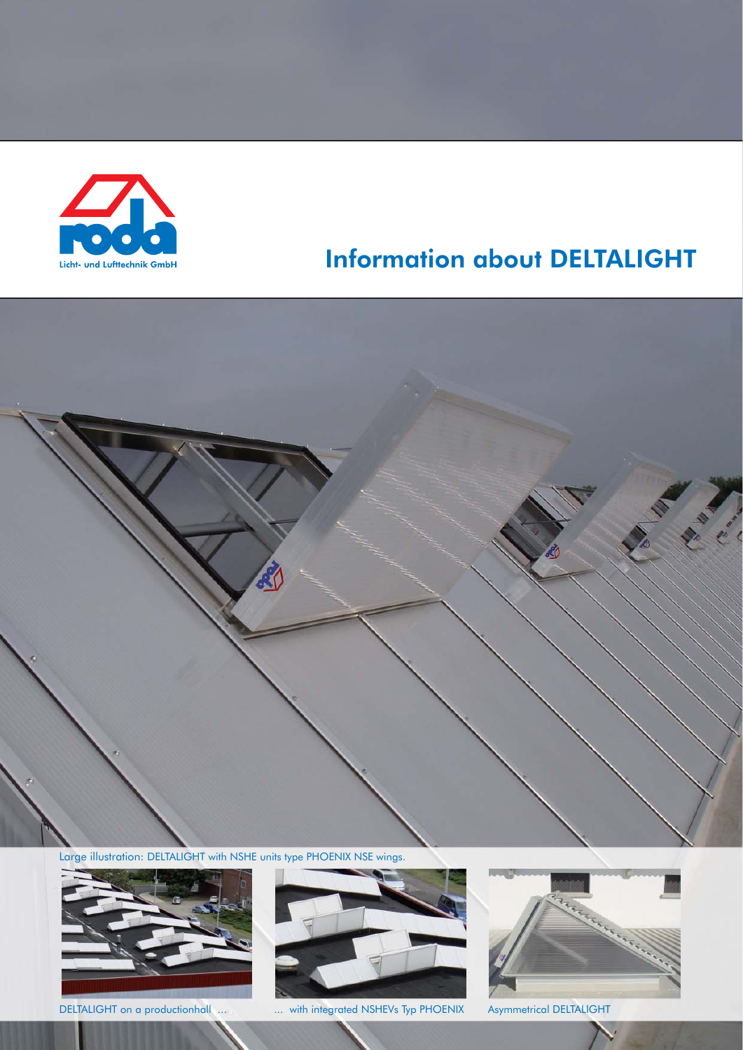

Large illustration: DELTALIGHT with NSHE units type PHOENIX NSE wings.





DELTALIGHT on a productionhall ... ... with integrated NSHEVs Typ PHOENIX Asymmetrical DELTALIGHT

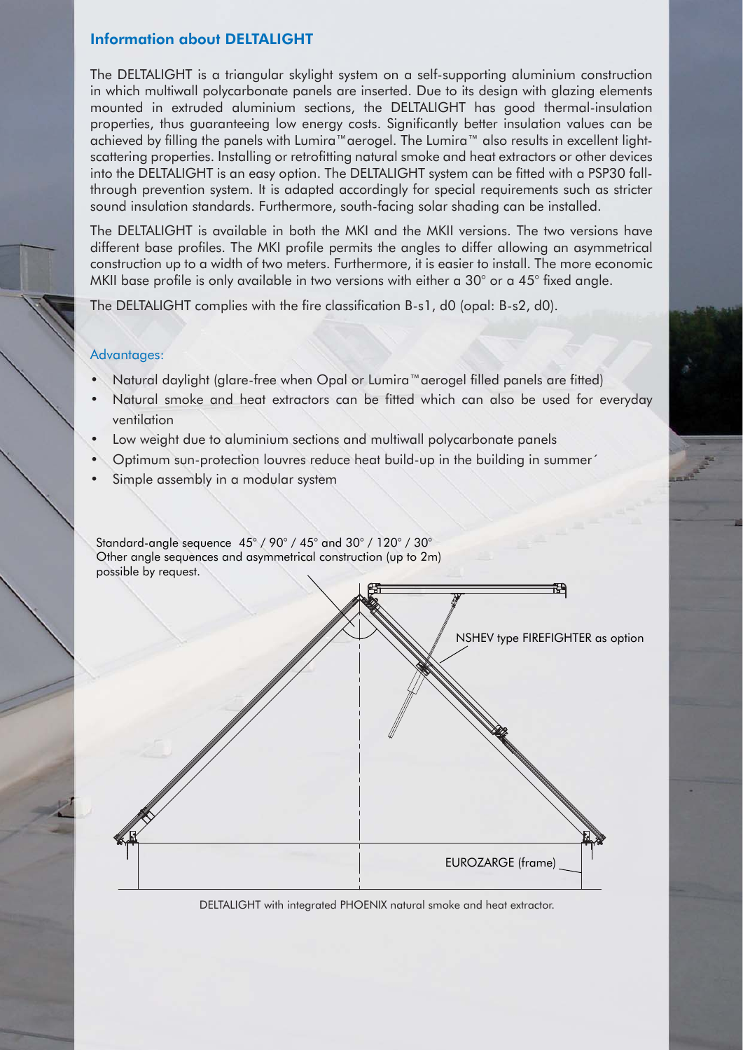The DELTALIGHT is a triangular skylight system on a self-supporting aluminium construction in which multiwall polycarbonate panels are inserted. Due to its design with glazing elements mounted in extruded aluminium sections, the DELTALIGHT has good thermal-insulation properties, thus guaranteeing low energy costs. Significantly better insulation values can be achieved by filling the panels with Lumira™aerogel. The Lumira™ also results in excellent lightscattering properties. Installing or retrofitting natural smoke and heat extractors or other devices into the DELTALIGHT is an easy option. The DELTALIGHT system can be fitted with a PSP30 fallthrough prevention system. It is adapted accordingly for special requirements such as stricter sound insulation standards. Furthermore, south-facing solar shading can be installed.

The DELTALIGHT is available in both the MKI and the MKII versions. The two versions have different base profiles. The MKI profile permits the angles to differ allowing an asymmetrical construction up to a width of two meters. Furthermore, it is easier to install. The more economic MKII base profile is only available in two versions with either a 30° or a 45° fixed angle.

The DELTALIGHT complies with the fire classification B-s1, d0 (opal: B-s2, d0).

## Advantages:

- Natural daylight (glare-free when Opal or Lumira™aerogel filled panels are fitted)
- Natural smoke and heat extractors can be fitted which can also be used for everyday ventilation
- Low weight due to aluminium sections and multiwall polycarbonate panels
- Optimum sun-protection louvres reduce heat build-up in the building in summer'
- Simple assembly in a modular system

Standard-angle sequence 45° / 90° / 45° and 30° / 120° / 30° Other angle sequences and asymmetrical construction (up to 2m) possible by request.



DELTALIGHT with integrated PHOENIX natural smoke and heat extractor.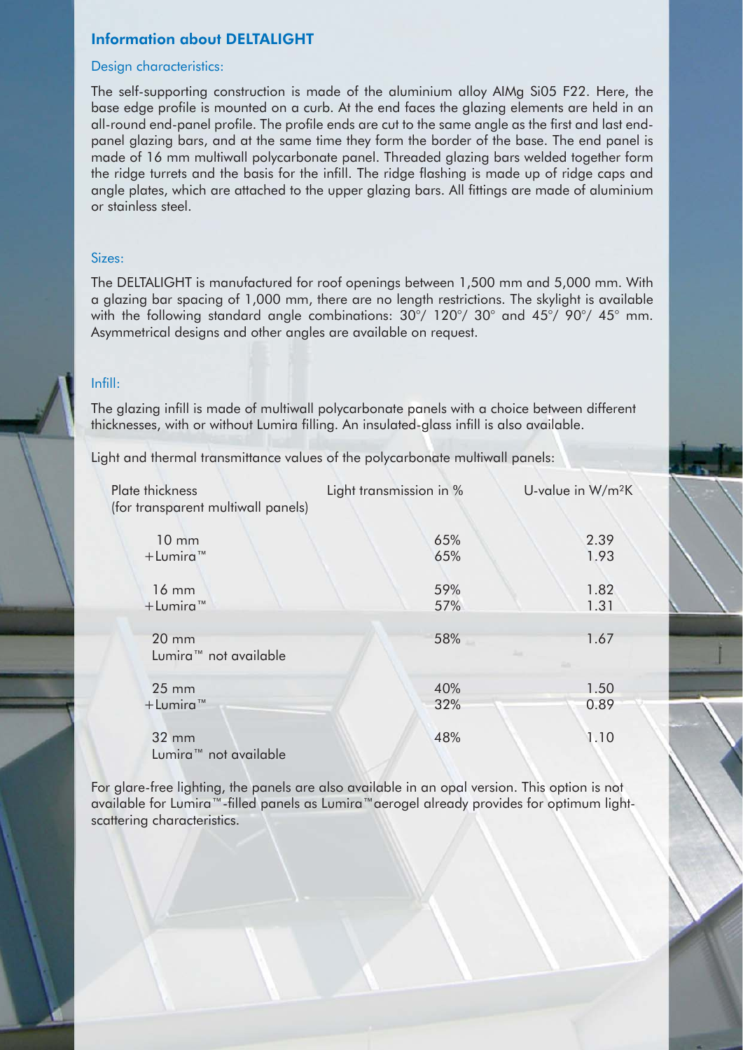#### Design characteristics:

The self-supporting construction is made of the aluminium alloy AIMg Si05 F22. Here, the base edge profile is mounted on a curb. At the end faces the glazing elements are held in an all-round end-panel profile. The profile ends are cut to the same angle as the first and last endpanel glazing bars, and at the same time they form the border of the base. The end panel is made of 16 mm multiwall polycarbonate panel. Threaded glazing bars welded together form the ridge turrets and the basis for the infill. The ridge flashing is made up of ridge caps and angle plates, which are attached to the upper glazing bars. All fittings are made of aluminium or stainless steel.

#### Sizes:

The DELTALIGHT is manufactured for roof openings between 1,500 mm and 5,000 mm. With a glazing bar spacing of 1,000 mm, there are no length restrictions. The skylight is available with the following standard angle combinations: 30°/ 120°/ 30° and 45°/ 90°/ 45° mm. Asymmetrical designs and other angles are available on request.

#### Infill:

The glazing infill is made of multiwall polycarbonate panels with a choice between different thicknesses, with or without Lumira filling. An insulated-glass infill is also available.

Light and thermal transmittance values of the polycarbonate multiwall panels:

| Plate thickness<br>(for transparent multiwall panels) | Light transmission in % | U-value in W/m <sup>2</sup> K |
|-------------------------------------------------------|-------------------------|-------------------------------|
| $10 \text{ mm}$                                       | 65%                     | 2.39                          |
| $+$ Lumira <sup>™</sup>                               | 65%                     | 1.93                          |
| $16 \text{ mm}$                                       | 59%                     | 1.82                          |
| $+$ Lumira <sup>™</sup>                               | 57%                     | 1.31                          |
| $20$ mm<br>Lumira <sup>™</sup> not available          | 58%                     | 1.67                          |
| $25 \, \text{mm}$                                     | 40%                     | 1.50                          |
| $+$ Lumira <sup>™</sup>                               | 32%                     | 0.89                          |
| 32 mm<br>Lumira <sup>™</sup> not available            | 48%                     | 1.10                          |

For glare-free lighting, the panels are also available in an opal version. This option is not available for Lumira™-filled panels as Lumira™aerogel already provides for optimum lightscattering characteristics.